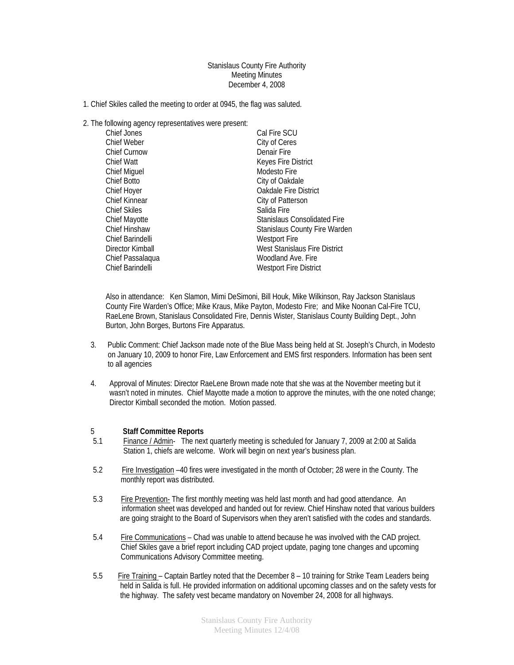## Stanislaus County Fire Authority Meeting Minutes December 4, 2008

- 1. Chief Skiles called the meeting to order at 0945, the flag was saluted.
- 2. The following agency representatives were present:

| Chief Jones          | Cal Fire SCU                         |
|----------------------|--------------------------------------|
| Chief Weber          | City of Ceres                        |
| <b>Chief Curnow</b>  | Denair Fire                          |
| Chief Watt           | Keyes Fire District                  |
| <b>Chief Miguel</b>  | Modesto Fire                         |
| Chief Botto          | City of Oakdale                      |
| Chief Hoyer          | Oakdale Fire District                |
| <b>Chief Kinnear</b> | City of Patterson                    |
| <b>Chief Skiles</b>  | Salida Fire                          |
| Chief Mayotte        | Stanislaus Consolidated Fire         |
| Chief Hinshaw        | <b>Stanislaus County Fire Warden</b> |
| Chief Barindelli     | <b>Westport Fire</b>                 |
| Director Kimball     | West Stanislaus Fire District        |
| Chief Passalaqua     | Woodland Ave. Fire                   |
| Chief Barindelli     | <b>Westport Fire District</b>        |
|                      |                                      |

Also in attendance: Ken Slamon, Mimi DeSimoni, Bill Houk, Mike Wilkinson, Ray Jackson Stanislaus County Fire Warden's Office; Mike Kraus, Mike Payton, Modesto Fire; and Mike Noonan Cal-Fire TCU, RaeLene Brown, Stanislaus Consolidated Fire, Dennis Wister, Stanislaus County Building Dept., John Burton, John Borges, Burtons Fire Apparatus.

- 3. Public Comment: Chief Jackson made note of the Blue Mass being held at St. Joseph's Church, in Modesto on January 10, 2009 to honor Fire, Law Enforcement and EMS first responders. Information has been sent to all agencies
- 4. Approval of Minutes: Director RaeLene Brown made note that she was at the November meeting but it wasn't noted in minutes. Chief Mayotte made a motion to approve the minutes, with the one noted change; Director Kimball seconded the motion. Motion passed.

## 5 **Staff Committee Reports**

- 5.1 Finance / Admin- The next quarterly meeting is scheduled for January 7, 2009 at 2:00 at Salida Station 1, chiefs are welcome. Work will begin on next year's business plan.
- 5.2 Fire Investigation –40 fires were investigated in the month of October; 28 were in the County. The monthly report was distributed.
- 5.3 Fire Prevention- The first monthly meeting was held last month and had good attendance. An information sheet was developed and handed out for review. Chief Hinshaw noted that various builders are going straight to the Board of Supervisors when they aren't satisfied with the codes and standards.
- 5.4 Fire Communications Chad was unable to attend because he was involved with the CAD project. Chief Skiles gave a brief report including CAD project update, paging tone changes and upcoming Communications Advisory Committee meeting.
- 5.5 Fire Training Captain Bartley noted that the December 8 10 training for Strike Team Leaders being held in Salida is full. He provided information on additional upcoming classes and on the safety vests for the highway. The safety vest became mandatory on November 24, 2008 for all highways.